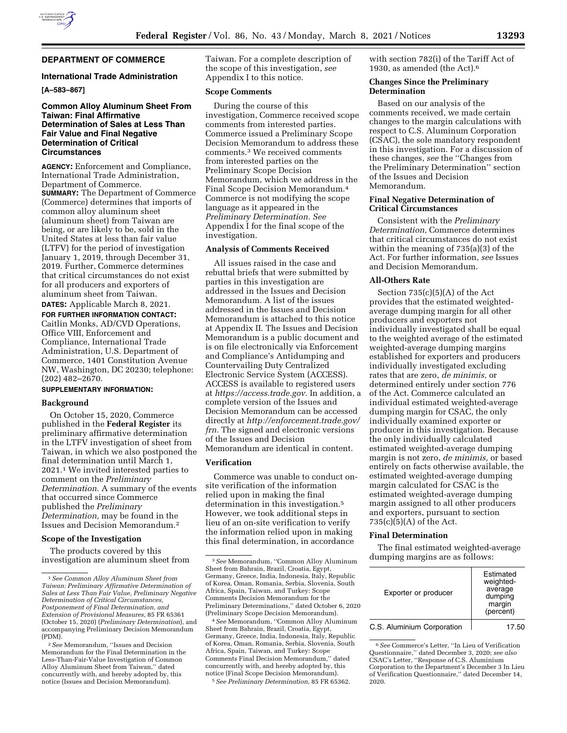

# **DEPARTMENT OF COMMERCE**

### **International Trade Administration**

## **[A–583–867]**

## **Common Alloy Aluminum Sheet From Taiwan: Final Affirmative Determination of Sales at Less Than Fair Value and Final Negative Determination of Critical Circumstances**

**AGENCY:** Enforcement and Compliance, International Trade Administration, Department of Commerce. **SUMMARY:** The Department of Commerce (Commerce) determines that imports of common alloy aluminum sheet (aluminum sheet) from Taiwan are being, or are likely to be, sold in the United States at less than fair value (LTFV) for the period of investigation January 1, 2019, through December 31, 2019. Further, Commerce determines that critical circumstances do not exist for all producers and exporters of aluminum sheet from Taiwan.

**DATES:** Applicable March 8, 2021. **FOR FURTHER INFORMATION CONTACT:**  Caitlin Monks, AD/CVD Operations, Office VIII, Enforcement and Compliance, International Trade Administration, U.S. Department of Commerce, 1401 Constitution Avenue NW, Washington, DC 20230; telephone: (202) 482–2670.

## **SUPPLEMENTARY INFORMATION:**

## **Background**

On October 15, 2020, Commerce published in the **Federal Register** its preliminary affirmative determination in the LTFV investigation of sheet from Taiwan, in which we also postponed the final determination until March 1, 2021.1 We invited interested parties to comment on the *Preliminary Determination.* A summary of the events that occurred since Commerce published the *Preliminary Determination,* may be found in the Issues and Decision Memorandum.2

## **Scope of the Investigation**

The products covered by this investigation are aluminum sheet from Taiwan. For a complete description of the scope of this investigation, *see*  Appendix I to this notice.

#### **Scope Comments**

During the course of this investigation, Commerce received scope comments from interested parties. Commerce issued a Preliminary Scope Decision Memorandum to address these comments.3 We received comments from interested parties on the Preliminary Scope Decision Memorandum, which we address in the Final Scope Decision Memorandum.4 Commerce is not modifying the scope language as it appeared in the *Preliminary Determination. See*  Appendix I for the final scope of the investigation.

### **Analysis of Comments Received**

All issues raised in the case and rebuttal briefs that were submitted by parties in this investigation are addressed in the Issues and Decision Memorandum. A list of the issues addressed in the Issues and Decision Memorandum is attached to this notice at Appendix II. The Issues and Decision Memorandum is a public document and is on file electronically via Enforcement and Compliance's Antidumping and Countervailing Duty Centralized Electronic Service System (ACCESS). ACCESS is available to registered users at *[https://access.trade.gov.](https://access.trade.gov)* In addition, a complete version of the Issues and Decision Memorandum can be accessed directly at *[http://enforcement.trade.gov/](http://enforcement.trade.gov/frn)  [frn.](http://enforcement.trade.gov/frn)* The signed and electronic versions of the Issues and Decision Memorandum are identical in content.

## **Verification**

Commerce was unable to conduct onsite verification of the information relied upon in making the final determination in this investigation.5 However, we took additional steps in lieu of an on-site verification to verify the information relied upon in making this final determination, in accordance

4*See* Memorandum, ''Common Alloy Aluminum Sheet from Bahrain, Brazil, Croatia, Egypt, Germany, Greece, India, Indonesia, Italy, Republic of Korea, Oman, Romania, Serbia, Slovenia, South Africa, Spain, Taiwan, and Turkey: Scope Comments Final Decision Memorandum,'' dated concurrently with, and hereby adopted by, this notice (Final Scope Decision Memorandum). 5*See Preliminary Determination,* 85 FR 65362.

with section 782(i) of the Tariff Act of 1930, as amended (the Act).6

### **Changes Since the Preliminary Determination**

Based on our analysis of the comments received, we made certain changes to the margin calculations with respect to C.S. Aluminum Corporation (CSAC), the sole mandatory respondent in this investigation. For a discussion of these changes, *see* the ''Changes from the Preliminary Determination'' section of the Issues and Decision Memorandum.

### **Final Negative Determination of Critical Circumstances**

Consistent with the *Preliminary Determination,* Commerce determines that critical circumstances do not exist within the meaning of 735(a)(3) of the Act. For further information, *see* Issues and Decision Memorandum.

#### **All-Others Rate**

Section  $735(c)(5)(A)$  of the Act provides that the estimated weightedaverage dumping margin for all other producers and exporters not individually investigated shall be equal to the weighted average of the estimated weighted-average dumping margins established for exporters and producers individually investigated excluding rates that are zero, *de minimis,* or determined entirely under section 776 of the Act. Commerce calculated an individual estimated weighted-average dumping margin for CSAC, the only individually examined exporter or producer in this investigation. Because the only individually calculated estimated weighted-average dumping margin is not zero, *de minimis,* or based entirely on facts otherwise available, the estimated weighted-average dumping margin calculated for CSAC is the estimated weighted-average dumping margin assigned to all other producers and exporters, pursuant to section 735(c)(5)(A) of the Act.

## **Final Determination**

The final estimated weighted-average dumping margins are as follows:

| Exporter or producer       | Estimated<br>weighted-<br>average<br>dumping<br>margin<br>(percent) |
|----------------------------|---------------------------------------------------------------------|
| C.S. Aluminium Corporation | 17.50                                                               |

<sup>6</sup>*See* Commerce's Letter, ''In Lieu of Verification Questionnaire,'' dated December 3, 2020; *see also*  CSAC's Letter, ''Response of C.S. Aluminium Corporation to the Department's December 3 In Lieu of Verification Questionnaire,'' dated December 14, 2020.

<sup>1</sup>*See Common Alloy Aluminum Sheet from Taiwan: Preliminary Affirmative Determination of Sales at Less Than Fair Value, Preliminary Negative Determination of Critical Circumstances, Postponement of Final Determination, and Extension of Provisional Measures,* 85 FR 65361 (October 15, 2020) (*Preliminary Determination*), and accompanying Preliminary Decision Memorandum (PDM).

<sup>2</sup>*See* Memorandum, ''Issues and Decision Memorandum for the Final Determination in the Less-Than-Fair-Value Investigation of Common Alloy Aluminum Sheet from Taiwan,'' dated concurrently with, and hereby adopted by, this notice (Issues and Decision Memorandum).

<sup>3</sup>*See* Memorandum, ''Common Alloy Aluminum Sheet from Bahrain, Brazil, Croatia, Egypt, Germany, Greece, India, Indonesia, Italy, Republic of Korea, Oman, Romania, Serbia, Slovenia, South Africa, Spain, Taiwan, and Turkey: Scope Comments Decision Memorandum for the Preliminary Determinations,'' dated October 6, 2020 (Preliminary Scope Decision Memorandum).